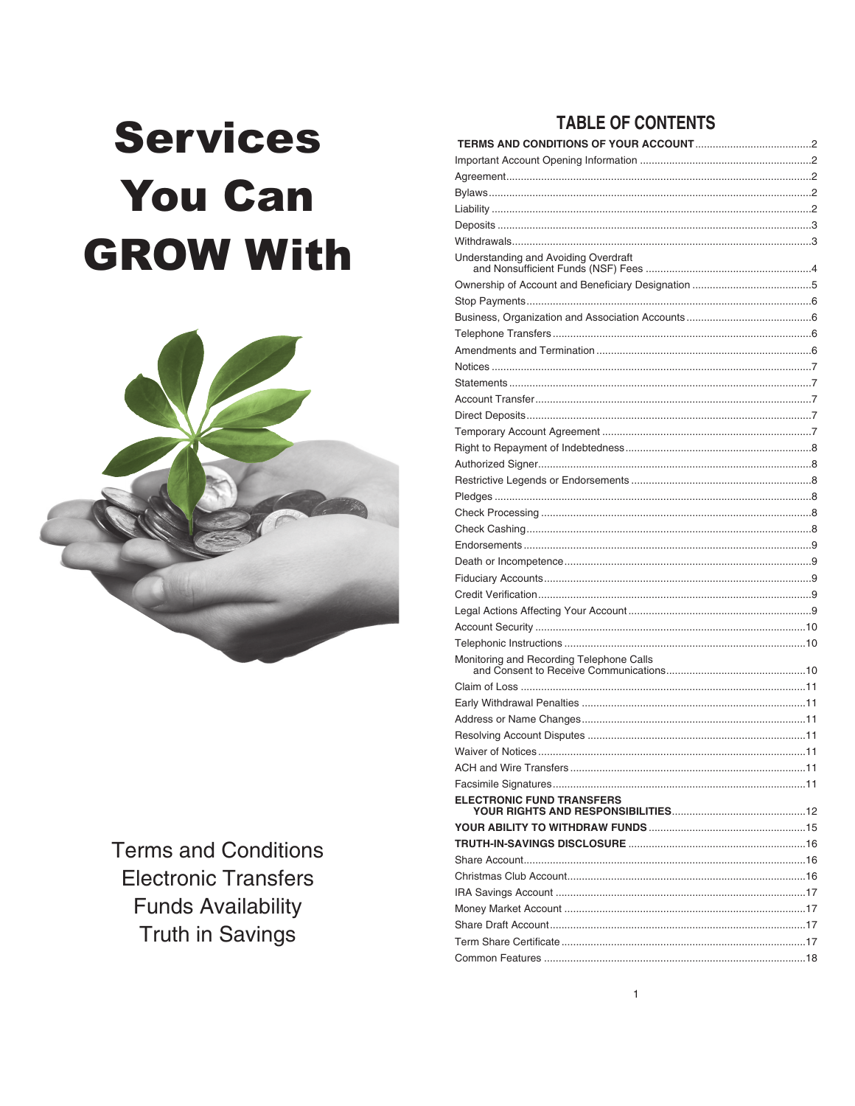# **Services You Can GROW With**



**Terms and Conditions Electronic Transfers Funds Availability Truth in Savings** 

# **TABLE OF CONTENTS**

| <b>ELECTRONIC FUND TRANSFERS</b> |  |
|----------------------------------|--|
|                                  |  |
|                                  |  |
|                                  |  |
|                                  |  |
|                                  |  |
|                                  |  |
|                                  |  |
|                                  |  |
|                                  |  |
|                                  |  |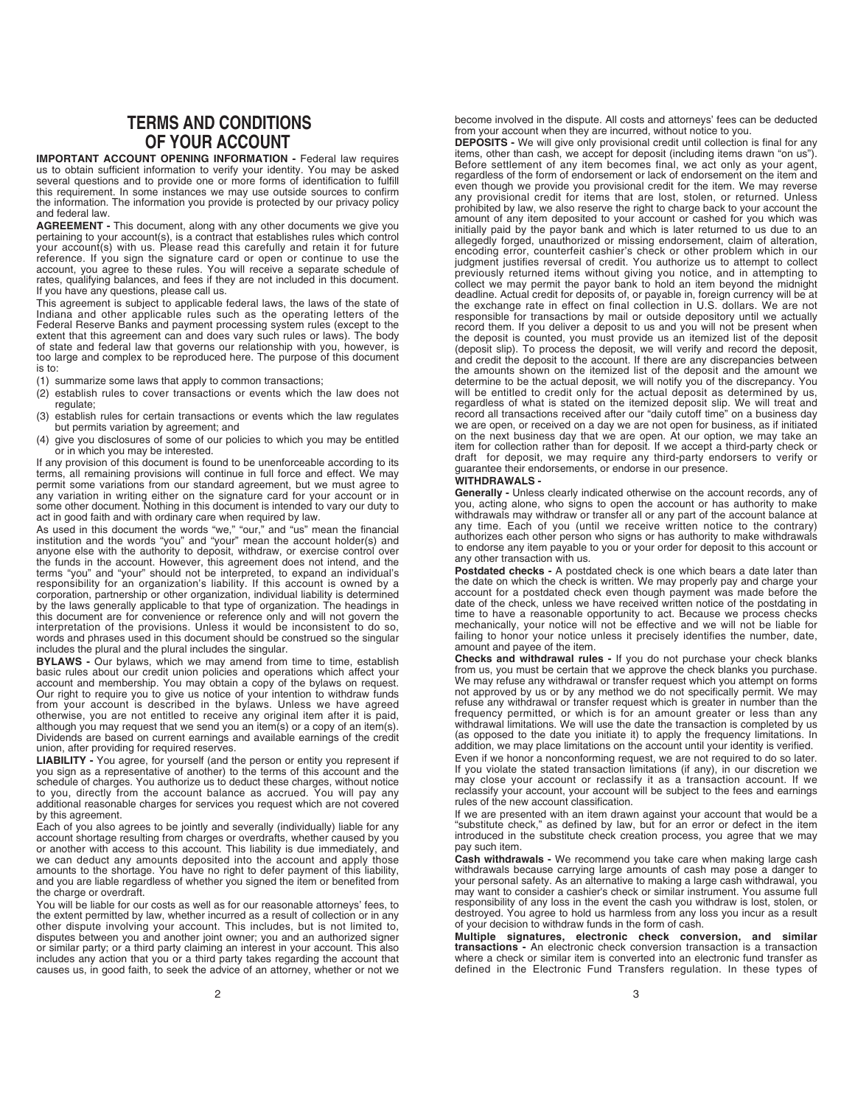# **TERMS AND CONDITIONS OF YOUR ACCOUNT**

**IMPORTANT ACCOUNT OPENING INFORMATION -** Federal law requires us to obtain sufficient information to verify your identity. You may be asked several questions and to provide one or more forms of identification to fulfill this requirement. In some instances we may use outside sources to confirm the information. The information you provide is protected by our privacy policy and federal law.

**AGREEMENT -** This document, along with any other documents we give you pertaining to your account(s), is a contract that establishes rules which control your account(s) with us. Please read this carefully and retain it for future reference. If you sign the signature card or open or continue to use the account, you agree to these rules. You will receive a separate schedule of rates, qualifying balances, and fees if they are not included in this document. If you have any questions, please call us.

This agreement is subject to applicable federal laws, the laws of the state of Indiana and other applicable rules such as the operating letters of the Federal Reserve Banks and payment processing system rules (except to the extent that this agreement can and does vary such rules or laws). The body of state and federal law that governs our relationship with you, however, is too large and complex to be reproduced here. The purpose of this document is to:

- (1) summarize some laws that apply to common transactions;
- (2) establish rules to cover transactions or events which the law does not regulate;
- (3) establish rules for certain transactions or events which the law regulates but permits variation by agreement; and
- (4) give you disclosures of some of our policies to which you may be entitled or in which you may be interested.

If any provision of this document is found to be unenforceable according to its terms, all remaining provisions will continue in full force and effect. We may permit some variations from our standard agreement, but we must agree to any variation in writing either on the signature card for your account or in some other document. Nothing in this document is intended to vary our duty to act in good faith and with ordinary care when required by law.

As used in this document the words "we," "our," and "us" mean the financial institution and the words "you" and "your" mean the account holder(s) and anyone else with the authority to deposit, withdraw, or exercise control over the funds in the account. However, this agreement does not intend, and the terms "you" and "your" should not be interpreted, to expand an individual's<br>responsibility for an organization's liability. If this account is owned by a<br>corporation, partnership or other organization, individual liability by the laws generally applicable to that type of organization. The headings in<br>this document are for convenience or reference only and will not govern the<br>interpretation of the provisions. Unless it would be inconsistent t words and phrases used in this document should be construed so the singular includes the plural and the plural includes the singular.

**BYLAWS -** Our bylaws, which we may amend from time to time, establish basic rules about our credit union policies and operations which affect your account and membership. You may obtain a copy of the bylaws on request. Our right to require you to give us notice of your intention to withdraw funds from your account is described in the bylaws. Unless we have agreed otherwise, you are not entitled to receive any original item after it is paid, although you may request that we send you an item(s) or a copy of an item(s). Dividends are based on current earnings and available earnings of the credit union, after providing for required reserves.

**LIABILITY -** You agree, for yourself (and the person or entity you represent if you sign as a representative of another) to the terms of this account and the schedule of charges. You authorize us to deduct these charges, without notice to you, directly from the account balance as accrued. You will pay any additional reasonable charges for services you request which are not covered by this agreement.

Each of you also agrees to be jointly and severally (individually) liable for any<br>account shortage resulting from charges or overdrafts, whether caused by you<br>or another with access to this account. This liability is due i amounts to the shortage. You have no right to defer payment of this liability, and you are liable regardless of whether you signed the item or benefited from the charge or overdraft.

You will be liable for our costs as well as for our reasonable attorneys' fees, to the extent permitted by law, whether incurred as a result of collection or in any other dispute involving your account. This includes, but is not limited to, disputes between you and another joint owner; you and an authorized signer or similar party; or a third party claiming an interest in your account. This also includes any action that you or a third party takes regarding the account that causes us, in good faith, to seek the advice of an attorney, whether or not we

become involved in the dispute. All costs and attorneys' fees can be deducted from your account when they are incurred, without notice to you.

**DEPOSITS -** We will give only provisional credit until collection is final for any items, other than cash, we accept for deposit (including items drawn "on us") Before settlement of any item becomes final, we act only as your agent, regardless of the form of endorsement or lack of endorsement on the item and even though we provide you provisional credit for the item. We may reverse any provisional credit for items that are lost, stolen, or returned. Unless prohibited by law, we also reserve the right to charge back to your account the amount of any item deposited to your account or cashed for you which was initially paid by the payor bank and which is later returned to us due to an allegedly forged, unauthorized or missing endorsement, claim of alteration, encoding error, counterfeit cashier's check or other problem which in our judgment justifies reversal of credit. You authorize us to attempt to collect previously returned items without giving you notice, and in attempting to collect we may permit the payor bank to hold an item beyond the midnight deadline. Actual credit for deposits of, or payable in, foreign currency will be at the exchange rate in effect on final collection in U.S. dollars. We are not responsible for transactions by mail or outside depository until we actually record them. If you deliver a deposit to us and you will not be present when the deposit is counted, you must provide us an itemized list of the deposit (deposit slip). To process the deposit, we will verify and record the deposit, and credit the deposit to the account. If there are any discrepancies between the amounts shown on the itemized list of the deposit and the amount we determine to be the actual deposit, we will notify you of the discrepancy. You<br>will be entitled to credit only for the actual deposit as determined by us,<br>regardless of what is stated on the itemized deposit slip. We will on the next business day that we are open. At our option, we may take an<br>item for collection rather than for deposit. If we accept a third-party check or<br>draft for deposit, we may require any third-party endorsers to verif guarantee their endorsements, or endorse in our presence.

# **WITHDRAWALS -**

**Generally -** Unless clearly indicated otherwise on the account records, any of you, acting alone, who signs to open the account or has authority to make withdrawals may withdraw or transfer all or any part of the account balance at any time. Each of you (until we receive written notice to the contrary) authorizes each other person who signs or has authority to make withdrawals to endorse any item payable to you or your order for deposit to this account or any other transaction with us.

**Postdated checks -** A postdated check is one which bears a date later than the date on which the check is written. We may properly pay and charge your account for a postdated check even though payment was made before the date of the check, unless we have received written notice of the postdating in time to have a reasonable opportunity to act. Because we process checks mechanically, your notice will not be effective and we will not be liable for failing to honor your notice unless it precisely identifies the number, date, amount and payee of the item.

**Checks and withdrawal rules -** If you do not purchase your check blanks from us, you must be certain that we approve the check blanks you purchase. We may refuse any withdrawal or transfer request which you attempt on forms not approved by us or by any method we do not specifically permit. We may refuse any withdrawal or transfer request which is greater in number than the frequency permitted, or which is for an amount greater or less than any<br>withdrawal limitations. We will use the date the transaction is completed by us<br>(as opposed to the date you initiate it) to apply the frequency limita addition, we may place limitations on the account until your identity is verified.

Even if we honor a nonconforming request, we are not required to do so later. If you violate the stated transaction limitations (if any), in our discretion we may close your account or reclassify it as a transaction account. If we reclassify your account, your account will be subject to the fees and earnings rules of the new account classification.

If we are presented with an item drawn against your account that would be a "substitute check," as defined by law, but for an error or defect in the item introduced in the substitute check creation process, you agree that we may pay such item.

**Cash withdrawals -** We recommend you take care when making large cash withdrawals because carrying large amounts of cash may pose a danger to your personal safety. As an alternative to making a large cash withdrawal, you may want to consider a cashier's check or similar instrument. You assume full responsibility of any loss in the event the cash you withdraw is lost, stolen, or destroyed. You agree to hold us harmless from any loss you incur as a result of your decision to withdraw funds in the form of cash.

**Multiple signatures, electronic check conversion, and similar transactions -** An electronic check conversion transaction is a transaction where a check or similar item is converted into an electronic fund transfer as defined in the Electronic Fund Transfers regulation. In these types of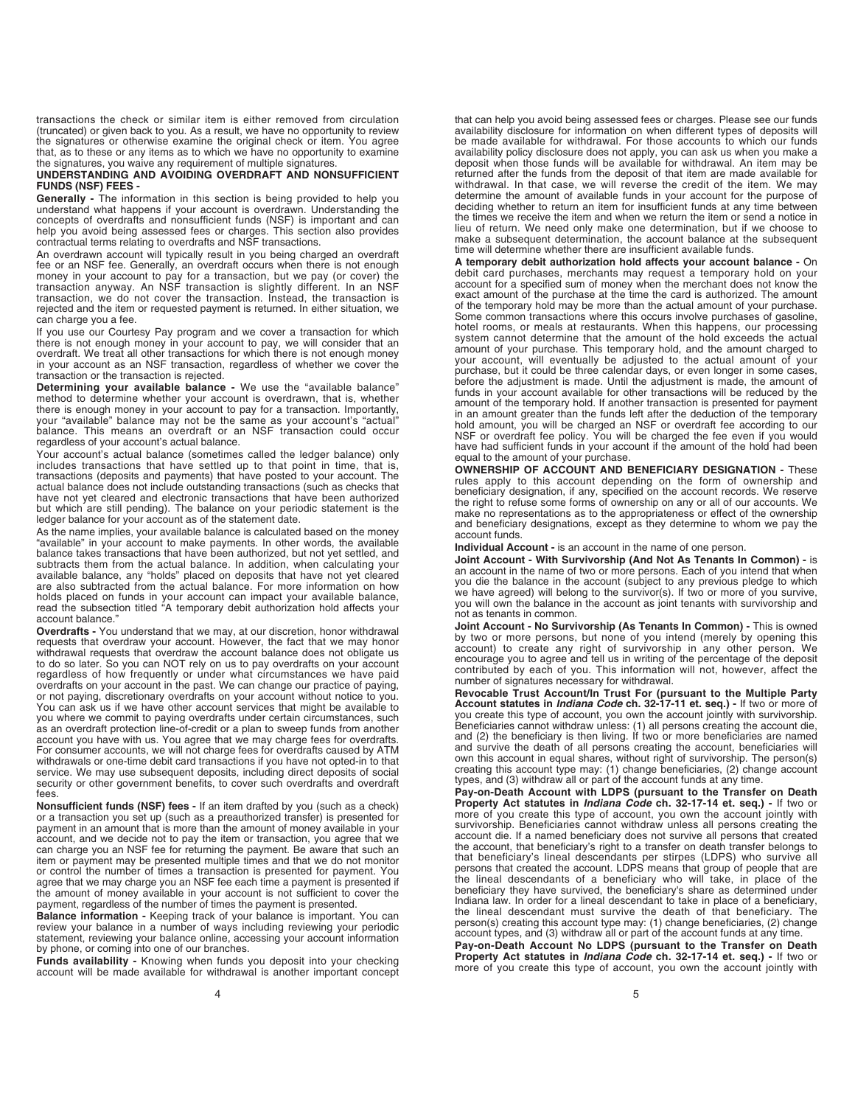transactions the check or similar item is either removed from circulation (truncated) or given back to you. As a result, we have no opportunity to review the signatures or otherwise examine the original check or item. You agree that, as to these or any items as to which we have no opportunity to examine the signatures, you waive any requirement of multiple signatures.

## **UNDERSTANDING AND AVOIDING OVERDRAFT AND NONSUFFICIENT FUNDS (NSF) FEES -**

**Generally -** The information in this section is being provided to help you understand what happens if your account is overdrawn. Understanding the concepts of overdrafts and nonsufficient funds (NSF) is important and can help you avoid being assessed fees or charges. This section also provides contractual terms relating to overdrafts and NSF transactions.

An overdrawn account will typically result in you being charged an overdraft fee or an NSF fee. Generally, an overdraft occurs when there is not enough money in your account to pay for a transaction, but we pay (or cover) the transaction anyway. An NSF transaction is slightly different. In an NSF transaction, we do not cover the transaction. Instead, the transaction is rejected and the item or requested payment is returned. In either situation, we can charge you a fee.

If you use our Courtesy Pay program and we cover a transaction for which there is not enough money in your account to pay, we will consider that an overdraft. We treat all other transactions for which there is not enough money in your account as an NSF transaction, regardless of whether we cover the transaction or the transaction is rejected.

**Determining your available balance -** We use the "available balance" method to determine whether your account is overdrawn, that is, whether there is enough money in your account to pay for a transaction. Importantly, your "available" balance may not be the same as your account's "actual" balance. This means an overdraft or an NSF transaction could occur regardless of your account's actual balance.

Your account's actual balance (sometimes called the ledger balance) only includes transactions that have settled up to that point in time, that is, transactions (deposits and payments) that have posted to your account. The actual balance does not include outstanding transactions (such as checks that have not yet cleared and electronic transactions that have been authorized but which are still pending). The balance on your periodic statement is the ledger balance for your account as of the statement date.

As the name implies, your available balance is calculated based on the money "available" in your account to make payments. In other words, the available balance takes transactions that have been authorized, but not yet settled, and subtracts them from the actual balance. In addition, when calculating your available balance, any "holds" placed on deposits that have not yet cleared are also subtracted from the actual balance. For more information on how holds placed on funds in your account can impact your available balance, read the subsection titled "A temporary debit authorization hold affects your account balance.'

**Overdrafts -** You understand that we may, at our discretion, honor withdrawal requests that overdraw your account. However, the fact that we may honor withdrawal requests that overdraw the account balance does not obligate us to do so later. So you can NOT rely on us to pay overdrafts on your account regardless of how frequently or under what circumstances we have paid overdrafts on your account in the past. We can change our practice of paying, or not paying, discretionary overdrafts on your account without notice to you. You can ask us if we have other account services that might be available to you where we commit to paying overdrafts under certain circumstances, such as an overdraft protection line-of-credit or a plan to sweep funds from another account you have with us. You agree that we may charge fees for overdrafts. For consumer accounts, we will not charge fees for overdrafts caused by ATM withdrawals or one-time debit card transactions if you have not opted-in to that service. We may use subsequent deposits, including direct deposits of social security or other government benefits, to cover such overdrafts and overdraft fees.

**Nonsufficient funds (NSF) fees -** If an item drafted by you (such as a check) or a transaction you set up (such as a preauthorized transfer) is presented for payment in an amount that is more than the amount of money available in your account, and we decide not to pay the item or transaction, you agree that we can charge you an NSF fee for returning the payment. Be aware that such an item or payment may be presented multiple times and that we do not monitor or control the number of times a transaction is presented for payment. You<br>agree that we may charge you an NSF fee each time a payment is presented if<br>the amount of money available in your account is not sufficient to cove payment, regardless of the number of times the payment is presented.

**Balance information -** Keeping track of your balance is important. You can review your balance in a number of ways including reviewing your periodic statement, reviewing your balance online, accessing your account information by phone, or coming into one of our branches.

**Funds availability -** Knowing when funds you deposit into your checking account will be made available for withdrawal is another important concept

that can help you avoid being assessed fees or charges. Please see our funds availability disclosure for information on when different types of deposits will be made available for withdrawal. For those accounts to which our funds availability policy disclosure does not apply, you can ask us when you make a deposit when those funds will be available for withdrawal. An item may be returned after the funds from the deposit of that item are made available for withdrawal. In that case, we will reverse the credit of the item. We may determine the amount of available funds in your account for the purpose of deciding whether to return an item for insufficient funds at any time between the times we receive the item and when we return the item or send a notice in lieu of return. We need only make one determination, but if we choose to make a subsequent determination, the account balance at the subsequent time will determine whether there are insufficient available funds.

**A temporary debit authorization hold affects your account balance -** On debit card purchases, merchants may request a temporary hold on your account for a specified sum of money when the merchant does not know the exact amount of the purchase at the time the card is authorized. The amount of the temporary hold may be more than the actual amount of your purchase. Some common transactions where this occurs involve purchases of gasoline, hotel rooms, or meals at restaurants. When this happens, our processing system cannot determine that the amount of the hold exceeds the actual amount of your purchase. This temporary hold, and the amount charged to your account, will eventually be adjusted to the actual amount of your purchase, but it could be three calendar days, or even longer in some cases, before the adjustment is made. Until the adjustment is made, the amount of funds in your account available for other transactions will be reduced by the amount of the temporary hold. If another transaction is presented for payment in an amount greater than the funds left after the deduction of the temporary hold amount, you will be charged an NSF or overdraft fee according to our NSF or overdraft fee policy. You will be charged the fee even if you would have had sufficient funds in your account if the amount of the hold had been equal to the amount of your purchase.

**OWNERSHIP OF ACCOUNT AND BENEFICIARY DESIGNATION -** These rules apply to this account depending on the form of ownership and beneficiary designation, if any, specified on the account records. We reserve the right to refuse some forms of ownership on any or all of our accounts. We make no representations as to the appropriateness or effect of the ownership and beneficiary designations, except as they determine to whom we pay the account funds.

**Individual Account -** is an account in the name of one person.

**Joint Account - With Survivorship (And Not As Tenants In Common) -** is an account in the name of two or more persons. Each of you intend that when you die the balance in the account (subject to any previous pledge to which we have agreed) will belong to the survivor(s). If two or more of you survive, you will own the balance in the account as joint tenants with survivorship and not as tenants in common.

**Joint Account - No Survivorship (As Tenants In Common) -** This is owned by two or more persons, but none of you intend (merely by opening this account) to create any right of survivorship in any other person. We encourage you to agree and tell us in writing of the percentage of the deposit contributed by each of you. This information will not, however, affect the number of signatures necessary for withdrawal.

**Revocable Trust Account/In Trust For (pursuant to the Multiple Party Account statutes in** *Indiana Code* **ch. 32-17-11 et. seq.) -** If two or more of<br>you create this type of account, you own the account jointly with survivorship.<br>Beneficiaries cannot withdraw unless: (1) all persons creating and (2) the beneficiary is then living. If two or more beneficiaries are named and survive the death of all persons creating the account, beneficiaries will own this account in equal shares, without right of survivorship. The person(s) creating this account type may: (1) change beneficiaries, (2) change account types, and (3) withdraw all or part of the account funds at any time.

**Pay-on-Death Account with LDPS (pursuant to the Transfer on Death Property Act statutes in** *Indiana Code* **ch. 32-17-14 et. seq.) -** If two or more of you create this type of account, you own the account jointly with survivorship. Beneficiaries cannot withdraw unless all persons creating the account die. If a named beneficiary does not survive all persons that created the account, that beneficiary's right to a transfer on death transfer belongs to that beneficiary's lineal descendants per stirpes (LDPS) who survive all persons that created the account. LDPS means that group of people that are the lineal descendants of a beneficiary who will take, in place of the beneficiary they have survived, the beneficiary's share as determined under Indiana law. In order for a lineal descendant to take in place of a beneficiary, the lineal descendant must survive the death of that beneficiary. The person(s) creating this account type may: (1) change beneficiaries, (2) change account types, and (3) withdraw all or part of the account funds at any time.

**Pay-on-Death Account No LDPS (pursuant to the Transfer on Death Property Act statutes in** *Indiana Code* **ch. 32-17-14 et. seq.) -** If two or more of you create this type of account, you own the account jointly with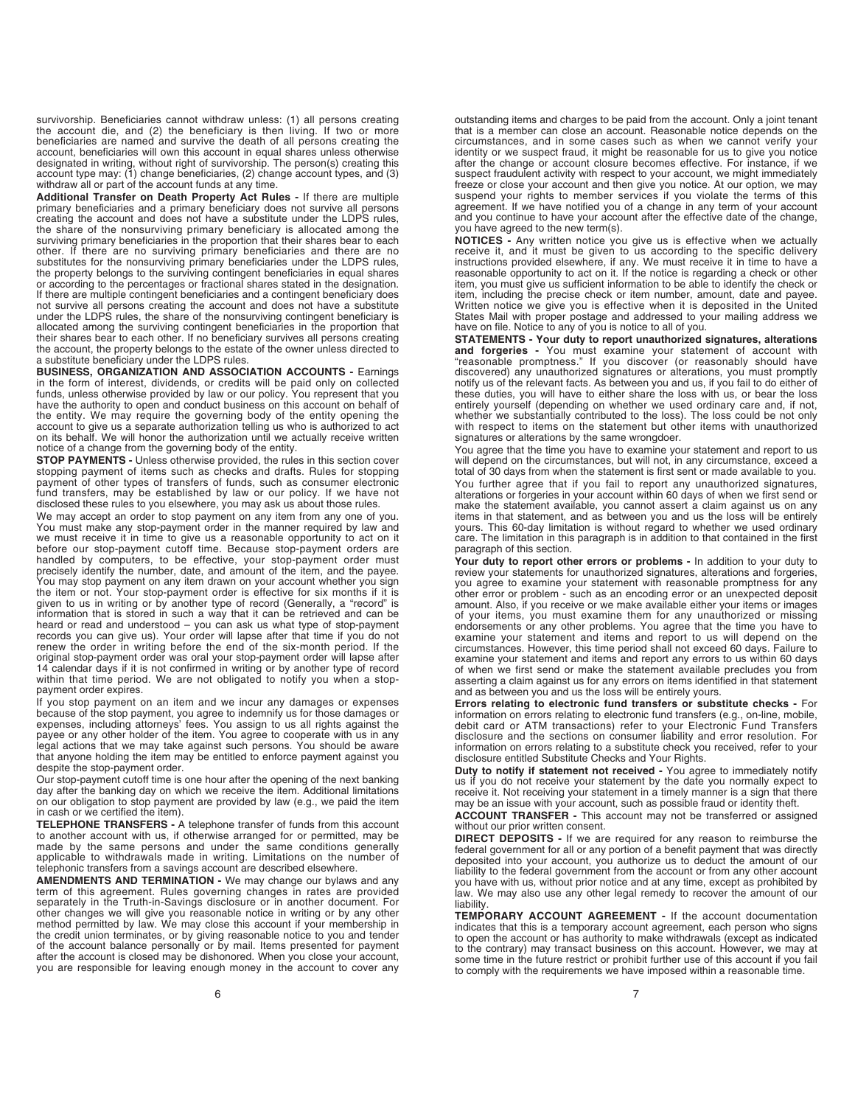survivorship. Beneficiaries cannot withdraw unless: (1) all persons creating the account die, and (2) the beneficiary is then living. If two or more beneficiaries are named and survive the death of all persons creating the account, beneficiaries will own this account in equal shares unless otherwise<br>designated in writing, without right of survivorship. The person(s) creating this<br>account type may: (1) change beneficiaries, (2) change account withdraw all or part of the account funds at any time.

**Additional Transfer on Death Property Act Rules -** If there are multiple primary beneficiaries and a primary beneficiary does not survive all persons creating the account and does not have a substitute under the LDPS rules, the share of the nonsurviving primary beneficiary is allocated among the surviving primary beneficiaries in the proportion that their shares bear to each other. If there are no surviving primary beneficiaries and there are no substitutes for the nonsurviving primary beneficiaries under the LDPS rules, the property belongs to the surviving contingent beneficiaries in equal shares or according to the percentages or fractional shares stated in the designation. If there are multiple contingent beneficiaries and a contingent beneficiary does not survive all persons creating the account and does not have a substitute under the LDPS rules, the share of the nonsurviving contingent beneficiary is allocated among the surviving contingent beneficiaries in the proportion that their shares bear to each other. If no beneficiary survives all persons creating the account, the property belongs to the estate of the owner unless directed to a substitute beneficiary under the LDPS rules.

**BUSINESS, ORGANIZATION AND ASSOCIATION ACCOUNTS -** Earnings in the form of interest, dividends, or credits will be paid only on collected funds, unless otherwise provided by law or our policy. You represent that you have the authority to open and conduct business on this account on behalf of the entity. We may require the governing body of the entity opening the account to give us a separate authorization telling us who is authorized to act on its behalf. We will honor the authorization until we actually receive written notice of a change from the governing body of the entity.

**STOP PAYMENTS -** Unless otherwise provided, the rules in this section cover stopping payment of items such as checks and drafts. Rules for stopping payment of other types of transfers of funds, such as consumer electronic fund transfers, may be established by law or our policy. If we have not disclosed these rules to you elsewhere, you may ask us about those rules.

We may accept an order to stop payment on any item from any one of you. You must make any stop-payment order in the manner required by law and we must receive it in time to give us a reasonable opportunity to act on it before our stop-payment cutoff time. Because stop-payment orders are handled by computers, to be effective, your stop-payment order must precisely identify the number, date, and amount of the item, and the payee. You may stop payment on any item drawn on your account whether you sign the item or not. Your stop-payment order is effective for six months if it is given to us in writing or by another type of record (Generally, a "record" is information that is stored in such a way that it can be retrieved and can be heard or read and understood – you can ask us what type of stop-payment records you can give us). Your order will lapse after that time if you do not renew the order in writing before the end of the six-month period. If the original stop-payment order was oral your stop-payment order will lapse after<br>14 calendar days if it is not confirmed in writing or by another type of record<br>within that time period. We are not obligated to notify you when payment order expires.

If you stop payment on an item and we incur any damages or expenses because of the stop payment, you agree to indemnify us for those damages or expenses, including attorneys' fees. You assign to us all rights against the payee or any other holder of the item. You agree to cooperate with us in any legal actions that we may take against such persons. You should be aware that anyone holding the item may be entitled to enforce payment against you despite the stop-payment order.

Our stop-payment cutoff time is one hour after the opening of the next banking day after the banking day on which we receive the item. Additional limitations on our obligation to stop payment are provided by law (e.g., we paid the item in cash or we certified the item).

**TELEPHONE TRANSFERS -** A telephone transfer of funds from this account to another account with us, if otherwise arranged for or permitted, may be made by the same persons and under the same conditions generally applicable to withdrawals made in writing. Limitations on the number of telephonic transfers from a savings account are described elsewhere.

**AMENDMENTS AND TERMINATION -** We may change our bylaws and any term of this agreement. Rules governing changes in rates are provided separately in the Truth-in-Savings disclosure or in another document. For other changes we will give you reasonable notice in writing or by any other method permitted by law. We may close this account if your membership in the credit union terminates, or by giving reasonable notice to you and tender of the account balance personally or by mail. Items presented for payment after the account is closed may be dishonored. When you close your account, you are responsible for leaving enough money in the account to cover any

outstanding items and charges to be paid from the account. Only a joint tenant that is a member can close an account. Reasonable notice depends on the circumstances, and in some cases such as when we cannot verify your identity or we suspect fraud, it might be reasonable for us to give you notice after the change or account closure becomes effective. For instance, if we suspect fraudulent activity with respect to your account, we might immediately freeze or close your account and then give you notice. At our option, we may suspend your rights to member services if you violate the terms of this agreement. If we have notified you of a change in any term of your account and you continue to have your account after the effective date of the change, you have agreed to the new term(s).

**NOTICES -** Any written notice you give us is effective when we actually receive it, and it must be given to us according to the specific delivery instructions provided elsewhere, if any. We must receive it in time to have a reasonable opportunity to act on it. If the notice is regarding a check or other item, you must give us sufficient information to be able to identify the check or item, including the precise check or item number, amount, date and payee. Written notice we give you is effective when it is deposited in the United States Mail with proper postage and addressed to your mailing address we have on file. Notice to any of you is notice to all of you.

**STATEMENTS - Your duty to report unauthorized signatures, alterations and forgeries -** You must examine your statement of account with "reasonable promptness." If you discover (or reasonably should have discovered) any unauthorized signatures or alterations, you must promptly notify us of the relevant facts. As between you and us, if you fail to do either of these duties, you will have to either share the loss with us, or bear the loss entirely yourself (depending on whether we used ordinary care and, if not, whether we substantially contributed to the loss). The loss could be not only with respect to items on the statement but other items with unauthorized signatures or alterations by the same wrongdoer.

You agree that the time you have to examine your statement and report to us will depend on the circumstances, but will not, in any circumstance, exceed a total of 30 days from when the statement is first sent or made available to you. You further agree that if you fail to report any unauthorized signatures,<br>alterations or forgeries in your account within 60 days of when we first send or<br>make the statement available, you cannot assert a claim against us items in that statement, and as between you and us the loss will be entirely yours. This 60-day limitation is without regard to whether we used ordinary care. The limitation in this paragraph is in addition to that contained in the first paragraph of this section.

**Your duty to report other errors or problems -** In addition to your duty to review your statements for unauthorized signatures, alterations and forgeries, you agree to examine your statement with reasonable promptness for any other error or problem - such as an encoding error or an unexpected deposit amount. Also, if you receive or we make available either your items or images of your items, you must examine them for any unauthorized or missing endorsements or any other problems. You agree that the time you have to examine your statement and items and report to us will depend on the circumstances. However, this time period shall not exceed 60 days. Failure to examine your statement and items and report any errors to us within 60 days of when we first send or make the statement available precludes you from asserting a claim against us for any errors on items identified in that statement and as between you and us the loss will be entirely yours.

**Errors relating to electronic fund transfers or substitute checks -** For information on errors relating to electronic fund transfers (e.g., on-line, mobile, debit card or ATM transactions) refer to your Electronic Fund Transfers disclosure and the sections on consumer liability and error resolution. For information on errors relating to a substitute check you received, refer to your disclosure entitled Substitute Checks and Your Rights.

**Duty to notify if statement not received -** You agree to immediately notify us if you do not receive your statement by the date you normally expect to receive it. Not receiving your statement in a timely manner is a sign that there may be an issue with your account, such as possible fraud or identity theft.

**ACCOUNT TRANSFER -** This account may not be transferred or assigned without our prior written consent.

**DIRECT DEPOSITS -** If we are required for any reason to reimburse the federal government for all or any portion of a benefit payment that was directly deposited into your account, you authorize us to deduct the amount of our liability to the federal government from the account or from any other account you have with us, without prior notice and at any time, except as prohibited by law. We may also use any other legal remedy to recover the amount of our liability.

**TEMPORARY ACCOUNT AGREEMENT -** If the account documentation indicates that this is a temporary account agreement, each person who signs to open the account or has authority to make withdrawals (except as indicated to the contrary) may transact business on this account. However, we may at some time in the future restrict or prohibit further use of this account if you fail to comply with the requirements we have imposed within a reasonable time.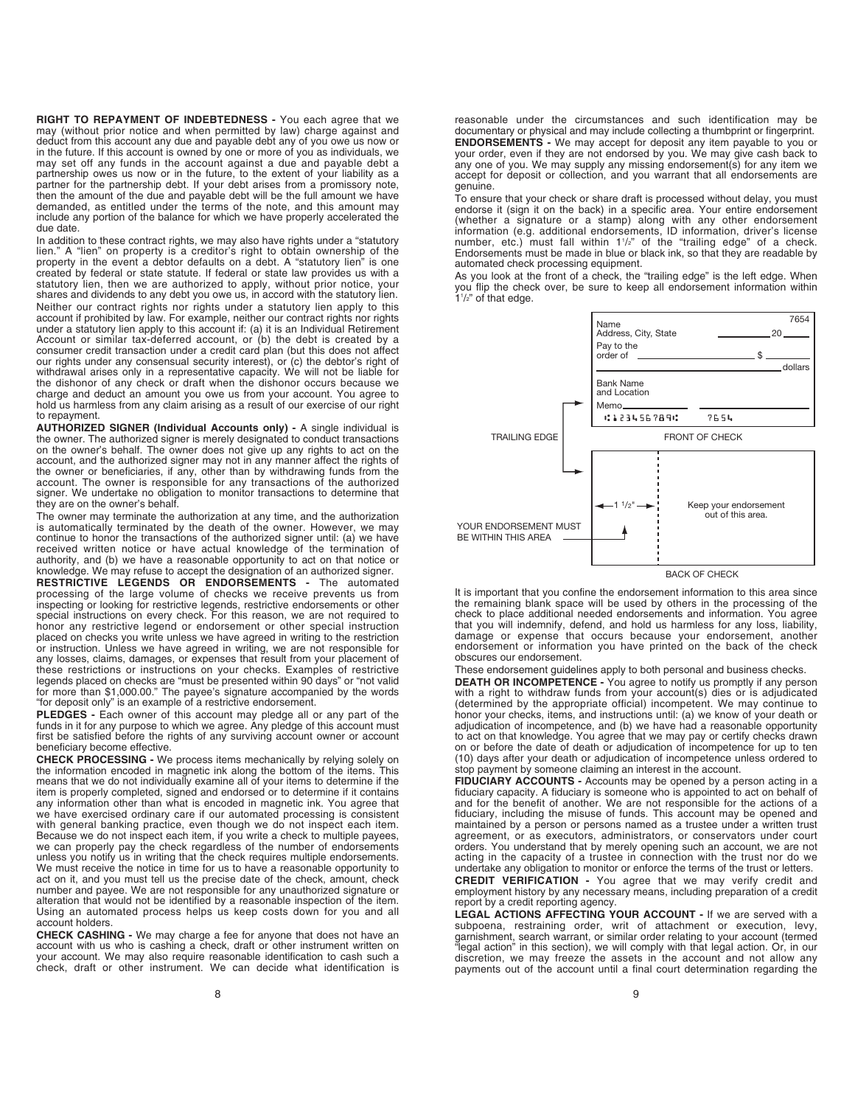**RIGHT TO REPAYMENT OF INDEBTEDNESS -** You each agree that we may (without prior notice and when permitted by law) charge against and deduct from this account any due and payable debt any of you owe us now or in the future. If this account is owned by one or more of you as individuals, we may set off any funds in the account against a due and payable debt a partnership owes us now or in the future, to the extent of your liability as a partner for the partnership debt. If your debt arises from a promissory note, then the amount of the due and payable debt will be the full amount we have demanded, as entitled under the terms of the note, and this amount may include any portion of the balance for which we have properly accelerated the due date.

In addition to these contract rights, we may also have rights under a "statutory lien." A "lien" on property is a creditor's right to obtain ownership of the property in the event a debtor defaults on a debt. A "statutory lien" is one created by federal or state statute. If federal or state law provides us with a statutory lien, then we are authorized to apply, without prior notice, your shares and dividends to any debt you owe us, in accord with the statutory lien. Neither our contract rights nor rights under a statutory lien apply to this<br>account if prohibited by law. For example, neither our contract rights nor rights<br>under a statutory lien apply to this account if: (a) it is an In our rights under any consensual security interest), or (c) the debtor's right of withdrawal arises only in a representative capacity. We will not be liable for the dishonor of any check or draft when the dishonor occurs because we charge and deduct an amount you owe us from your account. You agree to hold us harmless from any claim arising as a result of our exercise of our right to repayment.

**AUTHORIZED SIGNER (Individual Accounts only) -** A single individual is the owner. The authorized signer is merely designated to conduct transactions on the owner's behalf. The owner does not give up any rights to act on the account, and the authorized signer may not in any manner affect the rights of the owner or beneficiaries, if any, other than by withdrawing funds from the account. The owner is responsible for any transactions of the authorized signer. We undertake no obligation to monitor transactions to determine that they are on the owner's behalf.

The owner may terminate the authorization at any time, and the authorization is automatically terminated by the death of the owner. However, we may continue to honor the transactions of the authorized signer until: (a) we have received written notice or have actual knowledge of the termination of authority, and (b) we have a reasonable opportunity to act on that notice or knowledge. We may refuse to accept the designation of an authorized signer.

**RESTRICTIVE LEGENDS OR ENDORSEMENTS -** The automated processing of the large volume of checks we receive prevents us from inspecting or looking for restrictive legends, restrictive endorsements or other special instructions on every check. For this reason, we are not required to honor any restrictive legend or endorsement or other special instruction placed on checks you write unless we have agreed in writing to the restriction or instruction. Unless we have agreed in writing, we are not responsible for any losses, claims, damages, or expenses that result from your placement of these restrictions or instructions on your checks. Examples of restrictive legends placed on checks are "must be presented within 90 days" or "not valid for more than \$1,000.00." The payee's signature accompanied by the words "for deposit only" is an example of a restrictive endorsement.

**PLEDGES -** Each owner of this account may pledge all or any part of the funds in it for any purpose to which we agree. Any pledge of this account must first be satisfied before the rights of any surviving account owner or account beneficiary become effective.

**CHECK PROCESSING -** We process items mechanically by relying solely on the information encoded in magnetic ink along the bottom of the items. This means that we do not individually examine all of your items to determine if the item is properly completed, signed and endorsed or to determine if it contains any information other than what is encoded in magnetic ink. You agree that we have exercised ordinary care if our automated processing is consistent with general banking practice, even though we do not inspect each item. Because we do not inspect each item, if you write a check to multiple payees, we can properly pay the check regardless of the number of endorsements unless you notify us in writing that the check requires multiple endorsements. We must receive the notice in time for us to have a reasonable opportunity to act on it, and you must tell us the precise date of the check, amount, check number and payee. We are not responsible for any unauthorized signature or alteration that would not be identified by a reasonable inspection of the item. Using an automated process helps us keep costs down for you and all account holders.

**CHECK CASHING -** We may charge a fee for anyone that does not have an account with us who is cashing a check, draft or other instrument written on your account. We may also require reasonable identification to cash such a check, draft or other instrument. We can decide what identification is reasonable under the circumstances and such identification may be documentary or physical and may include collecting a thumbprint or fingerprint. **ENDORSEMENTS -** We may accept for deposit any item payable to you or your order, even if they are not endorsed by you. We may give cash back to any one of you. We may supply any missing endorsement(s) for any item we accept for deposit or collection, and you warrant that all endorsements are genuine.

To ensure that your check or share draft is processed without delay, you must endorse it (sign it on the back) in a specific area. Your entire endorsement (whether a signature or a stamp) along with any other endorsement<br>information (e.g. additional endorsements, ID information, driver's license<br>number, etc.) must fall within 1½" of the "trailing edge" of a check.<br>Endorsemen automated check processing equipment.

As you look at the front of a check, the "trailing edge" is the left edge. When you flip the check over, be sure to keep all endorsement information within 11 /2" of that edge.



It is important that you confine the endorsement information to this area since the remaining blank space will be used by others in the processing of the check to place additional needed endorsements and information. You agree that you will indemnify, defend, and hold us harmless for any loss, liability, damage or expense that occurs because your endorsement, another endorsement or information you have printed on the back of the check obscures our endorsement.

These endorsement guidelines apply to both personal and business checks.

**DEATH OR INCOMPETENCE -** You agree to notify us promptly if any person with a right to withdraw funds from your account(s) dies or is adjudicated (determined by the appropriate official) incompetent. We may continue to honor your checks, items, and instructions until: (a) we know of your death or adjudication of incompetence, and (b) we have had a reasonable opportunity to act on that knowledge. You agree that we may pay or certify checks drawn on or before the date of death or adjudication of incompetence for up to ten (10) days after your death or adjudication of incompetence unless ordered to stop payment by someone claiming an interest in the account.

**FIDUCIARY ACCOUNTS -** Accounts may be opened by a person acting in a fiduciary capacity. A fiduciary is someone who is appointed to act on behalf of and for the benefit of another. We are not responsible for the actions of a fiduciary, including the misuse of funds. This account may be opened and maintained by a person or persons named as a trustee under a written trust agreement, or as executors, administrators, or conservators under court orders. You understand that by merely opening such an account, we are not acting in the capacity of a trustee in connection with the trust nor do we undertake any obligation to monitor or enforce the terms of the trust or letters.

**CREDIT VERIFICATION -** You agree that we may verify credit and employment history by any necessary means, including preparation of a credit report by a credit reporting agency.

**LEGAL ACTIONS AFFECTING YOUR ACCOUNT -** If we are served with a subpoena, restraining order, writ of attachment or execution, levy, garnishment, search warrant, or similar order relating to your account (termed<br>"legal action" in this section), we will comply with that legal action. Or, in our<br>discretion, we may freeze the assets in the account and not payments out of the account until a final court determination regarding the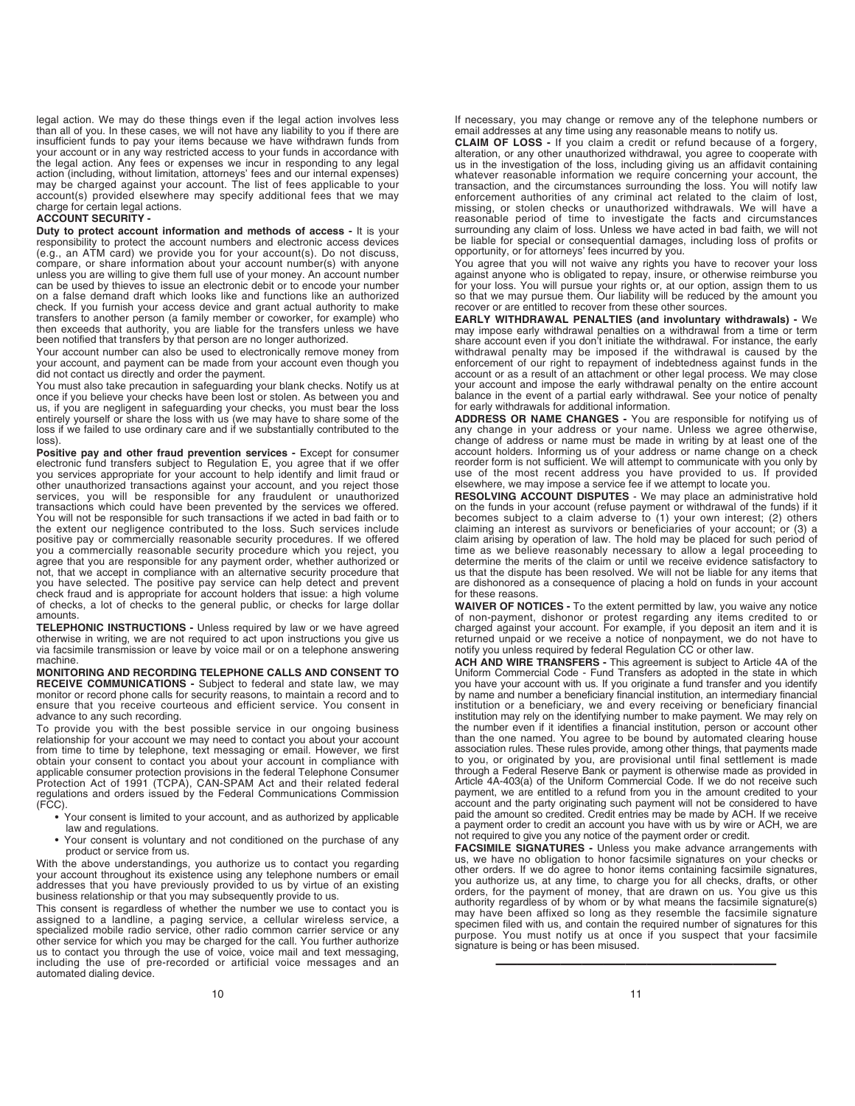legal action. We may do these things even if the legal action involves less<br>than all of you. In these cases, we will not have any liability to you if there are<br>insufficient funds to pay your items because we have withdrawn your account or in any way restricted access to your funds in accordance with the legal action. Any fees or expenses we incur in responding to any legal action (including, without limitation, attorneys' fees and our internal expenses)<br>may be charged against your account. The list of fees applicable to your<br>account(s) provided elsewhere may specify additional fees that we m charge for certain legal actions.

# **ACCOUNT SECURITY -**

**Duty to protect account information and methods of access -** It is your responsibility to protect the account numbers and electronic access devices (e.g., an ATM card) we provide you for your account(s). Do not discuss, compare, or share information about your account number(s) with anyone unless you are willing to give them full use of your money. An account number can be used by thieves to issue an electronic debit or to encode your number on a false demand draft which looks like and functions like an authorized check. If you furnish your access device and grant actual authority to make transfers to another person (a family member or coworker, for example) who then exceeds that authority, you are liable for the transfers unless we have been notified that transfers by that person are no longer authorized.

Your account number can also be used to electronically remove money from your account, and payment can be made from your account even though you did not contact us directly and order the payment.

You must also take precaution in safeguarding your blank checks. Notify us at once if you believe your checks have been lost or stolen. As between you and us, if you are negligent in safeguarding your checks, you must bear the loss entirely yourself or share the loss with us (we may have to share some of the loss if we failed to use ordinary care and if we substantially contributed to the loss).

Positive pay and other fraud prevention services - Except for consumer electronic fund transfers subject to Regulation E, you agree that if we offer you services appropriate for your account to help identify and limit fraud or other unauthorized transactions against your account, and you reject those services, you will be responsible for any fraudulent or unauthorized transactions which could have been prevented by the services we offered. You will not be responsible for such transactions if we acted in bad faith or to the extent our negligence contributed to the loss. Such services include positive pay or commercially reasonable security procedures. If we offered you a commercially reasonable security procedure which you reject, you agree that you are responsible for any payment order, whether authorized or not, that we accept in compliance with an alternative security procedure that you have selected. The positive pay service can help detect and prevent check fraud and is appropriate for account holders that issue: a high volume of checks, a lot of checks to the general public, or checks for large dollar amounts.

**TELEPHONIC INSTRUCTIONS -** Unless required by law or we have agreed otherwise in writing, we are not required to act upon instructions you give us via facsimile transmission or leave by voice mail or on a telephone answering machine.

**MONITORING AND RECORDING TELEPHONE CALLS AND CONSENT TO RECEIVE COMMUNICATIONS -** Subject to federal and state law, we may monitor or record phone calls for security reasons, to maintain a record and to ensure that you receive courteous and efficient service. You consent in advance to any such recording.

To provide you with the best possible service in our ongoing business relationship for your account we may need to contact you about your account from time to time by telephone, text messaging or email. However, we first obtain your consent to contact you about your account in compliance with applicable consumer protection provisions in the federal Telephone Consumer Protection Act of 1991 (TCPA), CAN-SPAM Act and their related federal regulations and orders issued by the Federal Communications Commission (FCC).

- Your consent is limited to your account, and as authorized by applicable law and regulations.
- Your consent is voluntary and not conditioned on the purchase of any product or service from us.

With the above understandings, you authorize us to contact you regarding<br>your account throughout its existence using any telephone numbers or email<br>addresses that you have previously provided to us by virtue of an existing

This consent is regardless of whether the number we use to contact you is assigned to a landline, a paging service, a cellular wireless service, a specialized mobile radio service, other radio common carrier service or any other service for which you may be charged for the call. You further authorize us to contact you through the use of voice, voice mail and text messaging, including the use of pre-recorded or artificial voice messages and an mole and the dialing device.

**CLAIM OF LOSS -** If you claim a credit or refund because of a forgery, alteration, or any other unauthorized withdrawal, you agree to cooperate with us in the investigation of the loss, including giving us an affidavit containing whatever reasonable information we require concerning your account, the transaction, and the circumstances surrounding the loss. You will notify law enforcement authorities of any criminal act related to the claim of lost, missing, or stolen checks or unauthorized withdrawals. We will have a reasonable period of time to investigate the facts and circumstances surrounding any claim of loss. Unless we have acted in bad faith, we will not be liable for special or consequential damages, including loss of profits or opportunity, or for attorneys' fees incurred by you.

You agree that you will not waive any rights you have to recover your loss against anyone who is obligated to repay, insure, or otherwise reimburse you for your loss. You will pursue your rights or, at our option, assign them to us so that we may pursue them. Our liability will be reduced by the amount you recover or are entitled to recover from these other sources.

**EARLY WITHDRAWAL PENALTIES (and involuntary withdrawals) -** We may impose early withdrawal penalties on a withdrawal from a time or term share account even if you don't initiate the withdrawal. For instance, the early withdrawal penalty may be imposed if the withdrawal is caused by the enforcement of our right to repayment of indebtedness against funds in the account or as a result of an attachment or other legal process. We may close your account and impose the early withdrawal penalty on the entire account balance in the event of a partial early withdrawal. See your notice of penalty for early withdrawals for additional information.

**ADDRESS OR NAME CHANGES -** You are responsible for notifying us of any change in your address or your name. Unless we agree otherwise, change of address or name must be made in writing by at least one of the account holders. Informing us of your address or name change on a check reorder form is not sufficient. We will attempt to communicate with you only by use of the most recent address you have provided to us. If provided elsewhere, we may impose a service fee if we attempt to locate you.

**RESOLVING ACCOUNT DISPUTES** - We may place an administrative hold on the funds in your account (refuse payment or withdrawal of the funds) if it becomes subject to a claim adverse to (1) your own interest; (2) others claiming an interest as survivors or beneficiaries of your account; or (3) a claim arising by operation of law. The hold may be placed for such period of time as we believe reasonably necessary to allow a legal proceeding to determine the merits of the claim or until we receive evidence satisfactory to us that the dispute has been resolved. We will not be liable for any items that are dishonored as a consequence of placing a hold on funds in your account for these reasons.

**WAIVER OF NOTICES -** To the extent permitted by law, you waive any notice of non-payment, dishonor or protest regarding any items credited to or charged against your account. For example, if you deposit an item and it is returned unpaid or we receive a notice of nonpayment, we do not have to notify you unless required by federal Regulation CC or other law.

**ACH AND WIRE TRANSFERS -** This agreement is subject to Article 4A of the Uniform Commercial Code - Fund Transfers as adopted in the state in which you have your account with us. If you originate a fund transfer and you identify by name and number a beneficiary financial institution, an intermediary financial institution or a beneficiary, we and every receiving or beneficiary financial institution may rely on the identifying number to make payment. We may rely on<br>the number even if it identifies a financial institution, person or account other<br>than the one named. You agree to be bound by automated cleari association rules. These rules provide, among other things, that payments made to you, or originated by you, are provisional until final settlement is made through a Federal Reserve Bank or payment is otherwise made as provided in Article 4A-403(a) of the Uniform Commercial Code. If we do not receive such payment, we are entitled to a refund from you in the amount credited to your account and the party originating such payment will not be considered to have paid the amount so credited. Credit entries may be made by ACH. If we receive a payment order to credit an account you have with us by wire or ACH, we are not required to give you any notice of the payment order or credit.

**FACSIMILE SIGNATURES -** Unless you make advance arrangements with us, we have no obligation to honor facsimile signatures on your checks or other orders. If we do agree to honor items containing facsimile signatures, you authorize us, at any time, to charge you for all checks, drafts, or other orders, for the payment of money, that are drawn on us. You give us this authority regardless of by whom or by what means the facsimile signature(s) may have been affixed so long as they resemble the facsimile signature specimen filed with us, and contain the required number of signatures for this purpose. You must notify us at once if you suspect that your facsimile signature is being or has been misused.

—————————————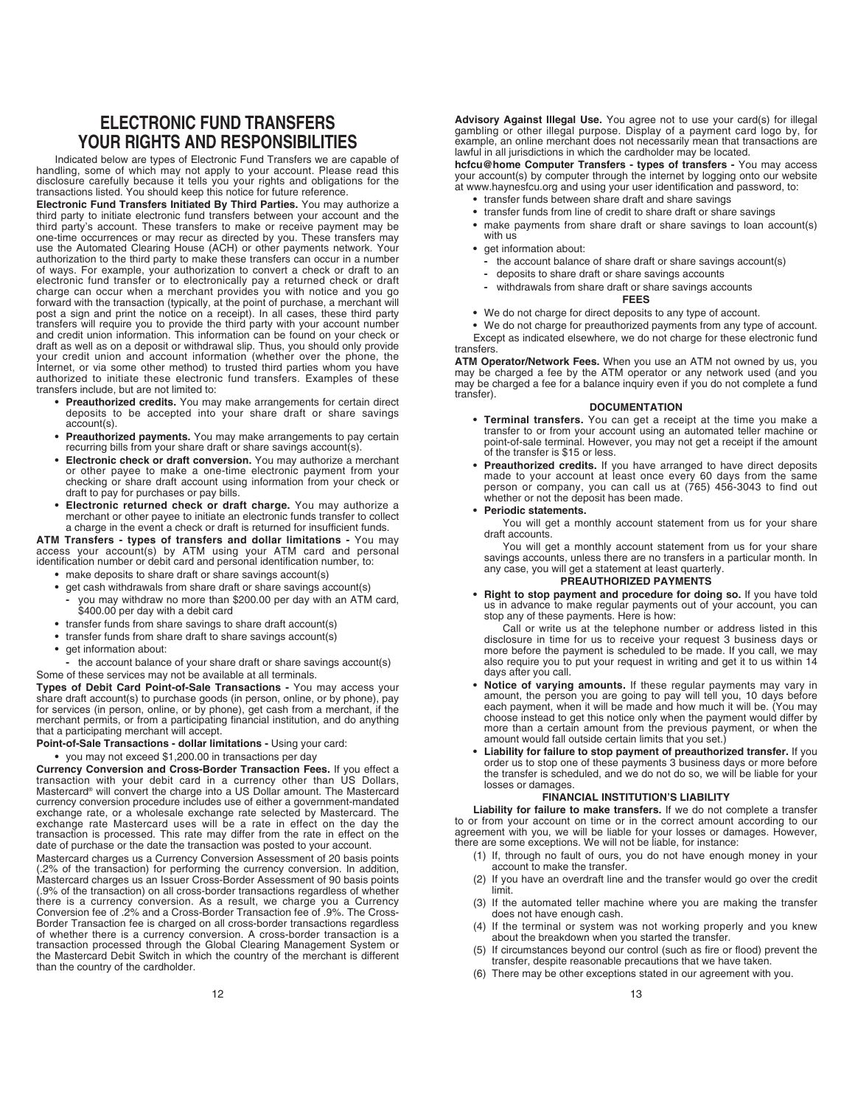# **ELECTRONIC FUND TRANSFERS YOUR RIGHTS AND RESPONSIBILITIES**

Indicated below are types of Electronic Fund Transfers we are capable of handling, some of which may not apply to your account. Please read this disclosure carefully because it tells you your rights and obligations for the transactions listed. You should keep this notice for future reference.

**Electronic Fund Transfers Initiated By Third Parties.** You may authorize a third party to initiate electronic fund transfers between your account and the third party's account. These transfers to make or receive payment may be one-time occurrences or may recur as directed by you. These transfers may use the Automated Clearing House (ACH) or other payments network. Your<br>authorization to the third party to make these transfers can occur in a numbe electronic fund transfer or to electronically pay a returned check or draft charge can occur when a merchant provides you with notice and you go forward with the transaction (typically, at the point of purchase, a merchant will post a sign and print the notice on a receipt). In all cases, these third party transfers will require you to provide the third party with your account number and credit union information. This information can be found on your check or draft as well as on a deposit or withdrawal slip. Thus, you should only provide your credit union and account information (whether over the phone, the Internet, or via some other method) to trusted third parties whom you have authorized to initiate these electronic fund transfers. Examples of these transfers include, but are not limited to:

- **Preauthorized credits.** You may make arrangements for certain direct deposits to be accepted into your share draft or share savings account(s).
- **Preauthorized payments.** You may make arrangements to pay certain recurring bills from your share draft or share savings account(s).
- **Electronic check or draft conversion.** You may authorize a merchant or other payee to make a one-time electronic payment from your checking or share draft account using information from your check or draft to pay for purchases or pay bills.
- **Electronic returned check or draft charge.** You may authorize a merchant or other payee to initiate an electronic funds transfer to collect a charge in the event a check or draft is returned for insufficient funds.

**ATM Transfers - types of transfers and dollar limitations -** You may access your account(s) by ATM using your ATM card and personal identification number or debit card and personal identification number, to:

- **•** make deposits to share draft or share savings account(s)
- get cash withdrawals from share draft or share savings account(s)
- **-** you may withdraw no more than \$200.00 per day with an ATM card, \$400.00 per day with a debit card
- **•** transfer funds from share savings to share draft account(s)
- **•** transfer funds from share draft to share savings account(s)
- **•** get information about:

**-** the account balance of your share draft or share savings account(s) Some of these services may not be available at all terminals.

**Types of Debit Card Point-of-Sale Transactions -** You may access your share draft account(s) to purchase goods (in person, online, or by phone), pay for services (in person, online, or by phone), get cash from a merchant, if the merchant permits, or from a participating financial institution, and do anything that a participating merchant will accept.

**Point-of-Sale Transactions - dollar limitations -** Using your card:

### **•** you may not exceed \$1,200.00 in transactions per day

**Currency Conversion and Cross-Border Transaction Fees.** If you effect a transaction with your debit card in a currency other than US Dollars, Mastercard® will convert the charge into a US Dollar amount. The Mastercard currency conversion procedure includes use of either a government-mandated exchange rate, or a wholesale exchange rate selected by Mastercard. The exchange rate Mastercard uses will be a rate in effect on the day the transaction is processed. This rate may differ from the rate in effect on the date of purchase or the date the transaction was posted to your account.

Mastercard charges us a Currency Conversion Assessment of 20 basis points (.2% of the transaction) for performing the currency conversion. In addition, Mastercard charges us an Issuer Cross-Border Assessment of 90 basis points (.9% of the transaction) on all cross-border transactions regardless of whether there is a currency conversion. As a result, we charge you a Currency Conversion fee of .2% and a Cross-Border Transaction fee of .9%. The Cross-Border Transaction fee is charged on all cross-border transactions regardless of whether there is a currency conversion. A cross-border transaction is a<br>transaction processed through the Global Clearing Management System or<br>the Mastercard Debit Switch in which the country of the merchant is differen than the country of the cardholder.

Advisory Against Illegal Use. You agree not to use your card(s) for illegal<br>gambling or other illegal purpose. Display of a payment card logo by, for<br>example, an online merchant does not necessarily mean that transactions lawful in all jurisdictions in which the cardholder may be located.

**hcfcu@home Computer Transfers - types of transfers -** You may access your account(s) by computer through the internet by logging onto our website at www.haynesfcu.org and using your user identification and password, to:

- **•** transfer funds between share draft and share savings
- **•** transfer funds from line of credit to share draft or share savings
- **•** make payments from share draft or share savings to loan account(s) with us
- **•** get information about:
	- the account balance of share draft or share savings account(s)<br>- deposits to share draft or share savings accounts
	- **-** deposits to share draft or share savings accounts
	- **-** withdrawals from share draft or share savings accounts

#### **FEES**

- **•** We do not charge for direct deposits to any type of account.
- **•** We do not charge for preauthorized payments from any type of account. Except as indicated elsewhere, we do not charge for these electronic fund

transfers. **ATM Operator/Network Fees.** When you use an ATM not owned by us, you may be charged a fee by the ATM operator or any network used (and you may be charged a fee for a balance inquiry even if you do not complete a fund transfer).

#### **DOCUMENTATION**

- **Terminal transfers.** You can get a receipt at the time you make a transfer to or from your account using an automated teller machine or point-of-sale terminal. However, you may not get a receipt if the amount of the transfer is \$15 or less.
- **Preauthorized credits.** If you have arranged to have direct deposits made to your account at least once every 60 days from the same person or company, you can call us at (765) 456-3043 to find out whether or not the deposit has been made.
- **Periodic statements.**

You will get a monthly account statement from us for your share draft accounts.

You will get a monthly account statement from us for your share savings accounts, unless there are no transfers in a particular month. In any case, you will get a statement at least quarterly.

# **PREAUTHORIZED PAYMENTS**

**• Right to stop payment and procedure for doing so.** If you have told us in advance to make regular payments out of your account, you can stop any of these payments. Here is how:

Call or write us at the telephone number or address listed in this disclosure in time for us to receive your request 3 business days or more before the payment is scheduled to be made. If you call, we may also require you to put your request in writing and get it to us within 14 days after you call.

- **Notice of varying amounts.** If these regular payments may vary in amount, the person you are going to pay will tell you, 10 days before each payment, when it will be made and how much it will be. (You may choose instead to get this notice only when the payment would differ by more than a certain amount from the previous payment, or when the amount would fall outside certain limits that you set.)
- **Liability for failure to stop payment of preauthorized transfer.** If you order us to stop one of these payments 3 business days or more before the transfer is scheduled, and we do not do so, we will be liable for your losses or damages.

# **FINANCIAL INSTITUTION'S LIABILITY**

**Liability for failure to make transfers.** If we do not complete a transfer to or from your account on time or in the correct amount according to our agreement with you, we will be liable for your losses or damages. However, there are some exceptions. We will not be liable, for instance:

- (1) If, through no fault of ours, you do not have enough money in your account to make the transfer.
- (2) If you have an overdraft line and the transfer would go over the credit limit.
- (3) If the automated teller machine where you are making the transfer does not have enough cash.
- (4) If the terminal or system was not working properly and you knew about the breakdown when you started the transfer.
- If circumstances beyond our control (such as fire or flood) prevent the transfer, despite reasonable precautions that we have taken.
- There may be other exceptions stated in our agreement with you.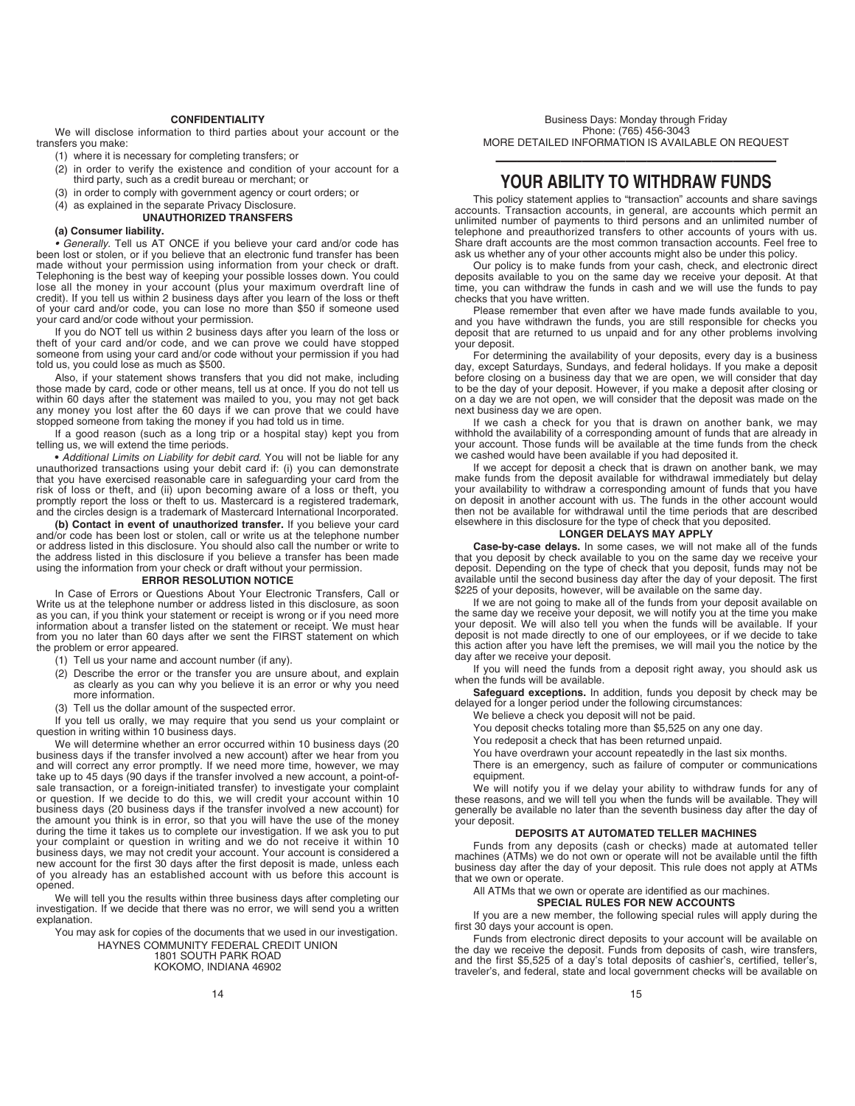#### **CONFIDENTIALITY**

We will disclose information to third parties about your account or the transfers you make:

- (1) where it is necessary for completing transfers; or
- (2) in order to verify the existence and condition of your account for a third party, such as a credit bureau or merchant; or
- (3) in order to comply with government agency or court orders; or
- (4) as explained in the separate Privacy Disclosure.
	- **UNAUTHORIZED TRANSFERS**

#### **(a) Consumer liability.**

• Generally. Tell us AT ONCE if you believe your card and/or code has been lost or stolen, or if you believe that an electronic fund transfer has been made without your permission using information from your check or draft. Telephoning is the best way of keeping your possible losses down. You could lose all the money in your account (plus your maximum overdraft line of credit). If you tell us within 2 business days after you learn of the loss or theft of your card and/or code, you can lose no more than \$50 if someone used your card and/or code without your permission.

If you do NOT tell us within 2 business days after you learn of the loss or theft of your card and/or code, and we can prove we could have stopped someone from using your card and/or code without your permission if you had told us, you could lose as much as \$500.

Also, if your statement shows transfers that you did not make, including those made by card, code or other means, tell us at once. If you do not tell us within 60 days after the statement was mailed to you, you may not get back any money you lost after the 60 days if we can prove that we could have stopped someone from taking the money if you had told us in time.

If a good reason (such as a long trip or a hospital stay) kept you from telling us, we will extend the time periods.

**•** Additional Limits on Liability for debit card. You will not be liable for any unauthorized transactions using your debit card if: (i) you can demonstrate that you have exercised reasonable care in safeguarding your card from the risk of loss or theft, and (ii) upon becoming aware of a loss or theft, you promptly report the loss or theft to us. Mastercard is a registered trademark, and the circles design is a trademark of Mastercard International Incorporated.

**(b) Contact in event of unauthorized transfer.** If you believe your card and/or code has been lost or stolen, call or write us at the telephone number or address listed in this disclosure. You should also call the number or write to the address listed in this disclosure if you believe a transfer has been made using the information from your check or draft without your permission.

## **ERROR RESOLUTION NOTICE**

In Case of Errors or Questions About Your Electronic Transfers, Call or Write us at the telephone number or address listed in this disclosure, as soon as you can, if you think your statement or receipt is wrong or if you need more information about a transfer listed on the statement or receipt. We must hear from you no later than 60 days after we sent the FIRST statement on which the problem or error appeared.

(1) Tell us your name and account number (if any).

- (2) Describe the error or the transfer you are unsure about, and explain as clearly as you can why you believe it is an error or why you need more information.
- (3) Tell us the dollar amount of the suspected error.

If you tell us orally, we may require that you send us your complaint or question in writing within 10 business days.

We will determine whether an error occurred within 10 business days (20 business days if the transfer involved a new account) after we hear from you and will correct any error promptly. If we need more time, however, we may take up to 45 days (90 days if the transfer involved a new account, a point-ofsale transaction, or a foreign-initiated transfer) to investigate your complaint or question. If we decide to do this, we will credit your account within 10 business days (20 business days if the transfer involved a new account) for the amount you think is in error, so that you will have the use of the money during the time it takes us to complete our investigation. If we ask you to put your complaint or question in writing and we do not receive it within 10 business days, we may not credit your account. Your account is considered a new account for the first 30 days after the first deposit is made, unless each of you already has an established account with us before this account is opened.

We will tell you the results within three business days after completing our investigation. If we decide that there was no error, we will send you a written explanation.

You may ask for copies of the documents that we used in our investigation.

HAYNES COMMUNITY FEDERAL CREDIT UNION 1801 SOUTH PARK ROAD

KOKOMO, INDIANA 46902

Business Days: Monday through Friday Phone: (765) 456-3043 MORE DETAILED INFORMATION IS AVAILABLE ON REQUEST

# ————————————— **YOUR ABILITY TO WITHDRAW FUNDS**

This policy statement applies to "transaction" accounts and share savings accounts. Transaction accounts, in general, are accounts which permit an unlimited number of payments to third persons and an unlimited number of telephone and preauthorized transfers to other accounts of yours with us. Share draft accounts are the most common transaction accounts. Feel free to ask us whether any of your other accounts might also be under this policy.

Our policy is to make funds from your cash, check, and electronic direct deposits available to you on the same day we receive your deposit. At that time, you can withdraw the funds in cash and we will use the funds to pay checks that you have written.

Please remember that even after we have made funds available to you, and you have withdrawn the funds, you are still responsible for checks you deposit that are returned to us unpaid and for any other problems involving your deposit.

For determining the availability of your deposits, every day is a business day, except Saturdays, Sundays, and federal holidays. If you make a deposit before closing on a business day that we are open, we will consider that day to be the day of your deposit. However, if you make a deposit after closing or on a day we are not open, we will consider that the deposit was made on the next business day we are open.

If we cash a check for you that is drawn on another bank, we may withhold the availability of a corresponding amount of funds that are already in your account. Those funds will be available at the time funds from the check we cashed would have been available if you had deposited it.

If we accept for deposit a check that is drawn on another bank, we may make funds from the deposit available for withdrawal immediately but delay your availability to withdraw a corresponding amount of funds that you have on deposit in another account with us. The funds in the other account would then not be available for withdrawal until the time periods that are described elsewhere in this disclosure for the type of check that you deposited.

## **LONGER DELAYS MAY APPLY**

**Case-by-case delays.** In some cases, we will not make all of the funds that you deposit by check available to you on the same day we receive your deposit. Depending on the type of check that you deposit, funds may not be available until the second business day after the day of your deposit. The first \$225 of your deposits, however, will be available on the same day.

If we are not going to make all of the funds from your deposit available on the same day we receive your deposit, we will notify you at the time you make your deposit. We will also tell you when the funds will be available. If your deposit is not made directly to one of our employees, or if we decide to take this action after you have left the premises, we will mail you the notice by the day after we receive your deposit.

If you will need the funds from a deposit right away, you should ask us when the funds will be available.

**Safeguard exceptions.** In addition, funds you deposit by check may be delayed for a longer period under the following circumstances:

We believe a check you deposit will not be paid.

You deposit checks totaling more than \$5,525 on any one day.

You redeposit a check that has been returned unpaid.

You have overdrawn your account repeatedly in the last six months.

There is an emergency, such as failure of computer or communications equipment.

We will notify you if we delay your ability to withdraw funds for any of these reasons, and we will tell you when the funds will be available. They will generally be available no later than the seventh business day after the day of your deposit.

#### **DEPOSITS AT AUTOMATED TELLER MACHINES**

Funds from any deposits (cash or checks) made at automated teller machines (ATMs) we do not own or operate will not be available until the fifth business day after the day of your deposit. This rule does not apply at ATMs that we own or operate.

All ATMs that we own or operate are identified as our machines.

# **SPECIAL RULES FOR NEW ACCOUNTS**

If you are a new member, the following special rules will apply during the first 30 days your account is open.

Funds from electronic direct deposits to your account will be available on the day we receive the deposit. Funds from deposits of cash, wire transfers, and the first \$5,525 of a day's total deposits of cashier's, certified, teller's, traveler's, and federal, state and local government checks will be available on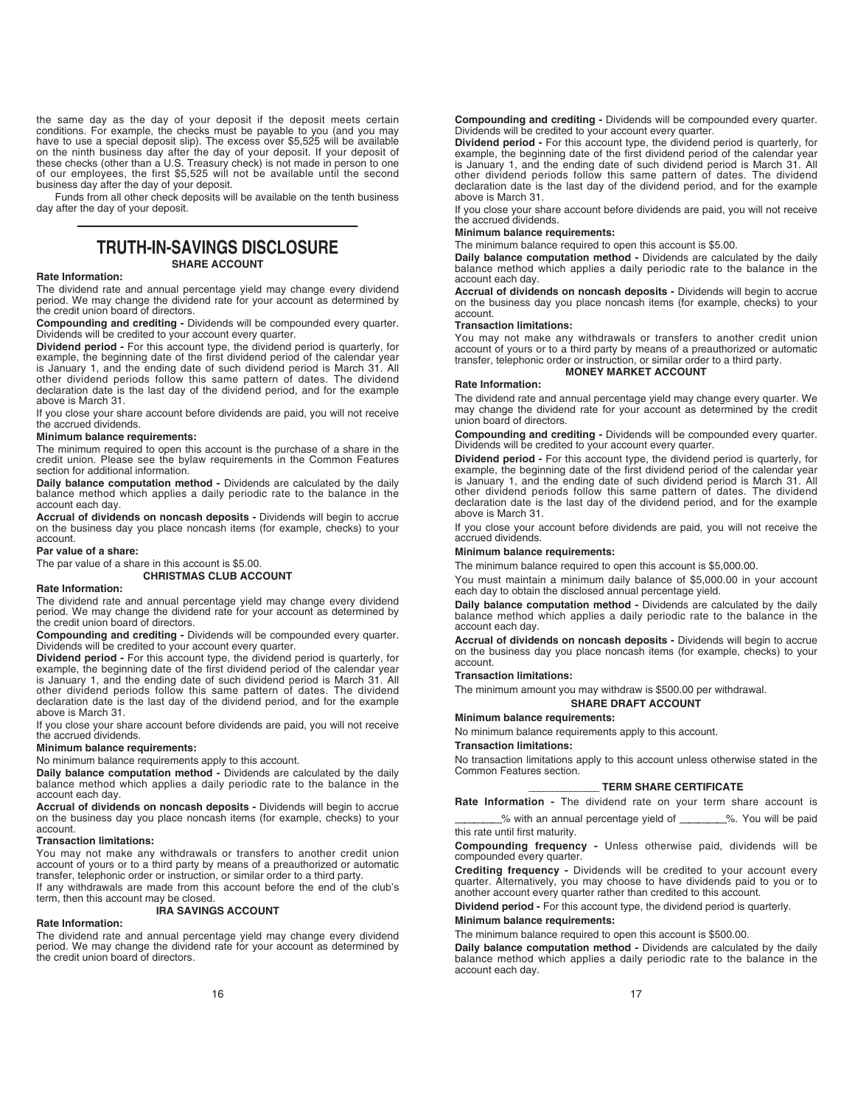the same day as the day of your deposit if the deposit meets certain conditions. For example, the checks must be payable to you (and you may have to use a special deposit slip). The excess over \$5,525 will be available on the ninth business day after the day of your deposit. If your deposit of<br>these checks (other than a U.S. Treasury check) is not made in person to one<br>of our employees, the first \$5,525 will not be available until the se business day after the day of your deposit.

Funds from all other check deposits will be available on the tenth business day after the day of your deposit.

# ————————————— **TRUTH-IN-SAVINGS DISCLOSURE**

# **SHARE ACCOUNT**

# **Rate Information:**

The dividend rate and annual percentage yield may change every dividend period. We may change the dividend rate for your account as determined by the credit union board of directors.

**Compounding and crediting -** Dividends will be compounded every quarter. Dividends will be credited to your account every quarter.

**Dividend period -** For this account type, the dividend period is quarterly, for example, the beginning date of the first dividend period of the calendar year is January 1, and the ending date of such dividend period is March 31. All other dividend periods follow this same pattern of dates. The dividend declaration date is the last day of the dividend period, and for the example above is March 31.

If you close your share account before dividends are paid, you will not receive the accrued dividends.

## **Minimum balance requirements:**

The minimum required to open this account is the purchase of a share in the credit union. Please see the bylaw requirements in the Common Features section for additional information.

**Daily balance computation method -** Dividends are calculated by the daily balance method which applies a daily periodic rate to the balance in the account each day.

**Accrual of dividends on noncash deposits -** Dividends will begin to accrue on the business day you place noncash items (for example, checks) to your account.

#### **Par value of a share:**

The par value of a share in this account is \$5.00.

## **CHRISTMAS CLUB ACCOUNT**

# **Rate Information:**

The dividend rate and annual percentage yield may change every dividend period. We may change the dividend rate for your account as determined by the credit union board of directors.

**Compounding and crediting -** Dividends will be compounded every quarter. Dividends will be credited to your account every quarter.

**Dividend period -** For this account type, the dividend period is quarterly, for example, the beginning date of the first dividend period of the calendar year is January 1, and the ending date of such dividend period is March 31. All other dividend periods follow this same pattern of dates. The dividend declaration date is the last day of the dividend period, and for the example above is March 31.

If you close your share account before dividends are paid, you will not receive the accrued dividends.

#### **Minimum balance requirements:**

No minimum balance requirements apply to this account.

**Daily balance computation method -** Dividends are calculated by the daily balance method which applies a daily periodic rate to the balance in the account each day.

**Accrual of dividends on noncash deposits -** Dividends will begin to accrue on the business day you place noncash items (for example, checks) to your account.

#### **Transaction limitations:**

You may not make any withdrawals or transfers to another credit union account of yours or to a third party by means of a preauthorized or automatic transfer, telephonic order or instruction, or similar order to a third party. If any withdrawals are made from this account before the end of the club's

term, then this account may be closed.

# **IRA SAVINGS ACCOUNT**

#### **Rate Information:**

The dividend rate and annual percentage yield may change every dividend period. We may change the dividend rate for your account as determined by the credit union board of directors.

### **Compounding and crediting -** Dividends will be compounded every quarter. Dividends will be credited to your account every quarter.

**Dividend period -** For this account type, the dividend period is quarterly, for example, the beginning date of the first dividend period of the calendar year is January 1, and the ending date of such dividend period is March 31. All other dividend periods follow this same pattern of dates. The dividend declaration date is the last day of the dividend period, and for the example above is March 31.

If you close your share account before dividends are paid, you will not receive the accrued dividends.

# **Minimum balance requirements:**

The minimum balance required to open this account is \$5.00.

**Daily balance computation method -** Dividends are calculated by the daily balance method which applies a daily periodic rate to the balance in the account each day.

**Accrual of dividends on noncash deposits -** Dividends will begin to accrue on the business day you place noncash items (for example, checks) to your account.

#### **Transaction limitations:**

You may not make any withdrawals or transfers to another credit union account of yours or to a third party by means of a preauthorized or automatic transfer, telephonic order or instruction, or similar order to a third party. **MONEY MARKET ACCOUNT** 

#### **Rate Information:**

The dividend rate and annual percentage yield may change every quarter. We may change the dividend rate for your account as determined by the credit union board of directors.

**Compounding and crediting -** Dividends will be compounded every quarter. Dividends will be credited to your account every quarter.

**Dividend period -** For this account type, the dividend period is quarterly, for example, the beginning date of the first dividend period of the calendar year is January 1, and the ending date of such dividend period is March 31. All other dividend periods follow this same pattern of dates. The dividend declaration date is the last day of the dividend period, and for the example above is March 31.

If you close your account before dividends are paid, you will not receive the accrued dividends.

## **Minimum balance requirements:**

The minimum balance required to open this account is \$5,000.00.

You must maintain a minimum daily balance of \$5,000.00 in your account each day to obtain the disclosed annual percentage yield.

**Daily balance computation method -** Dividends are calculated by the daily balance method which applies a daily periodic rate to the balance in the account each day.

**Accrual of dividends on noncash deposits -** Dividends will begin to accrue on the business day you place noncash items (for example, checks) to your account.

#### **Transaction limitations:**

The minimum amount you may withdraw is \$500.00 per withdrawal.

#### **SHARE DRAFT ACCOUNT**

#### **Minimum balance requirements:**

No minimum balance requirements apply to this account.

#### **Transaction limitations:**

No transaction limitations apply to this account unless otherwise stated in the Common Features section.

#### **\_\_\_\_\_\_\_\_\_\_\_\_\_\_\_ TERM SHARE CERTIFICATE**

**Rate Information -** The dividend rate on your term share account is % with an annual percentage yield of \_\_\_\_\_\_\_%. You will be paid

this rate until first maturity.

**Compounding frequency -** Unless otherwise paid, dividends will be compounded every quarter.

**Crediting frequency -** Dividends will be credited to your account every quarter. Alternatively, you may choose to have dividends paid to you or to another account every quarter rather than credited to this account.

**Dividend period -** For this account type, the dividend period is quarterly.

# **Minimum balance requirements:**

The minimum balance required to open this account is \$500.00.

**Daily balance computation method -** Dividends are calculated by the daily balance method which applies a daily periodic rate to the balance in the account each day.